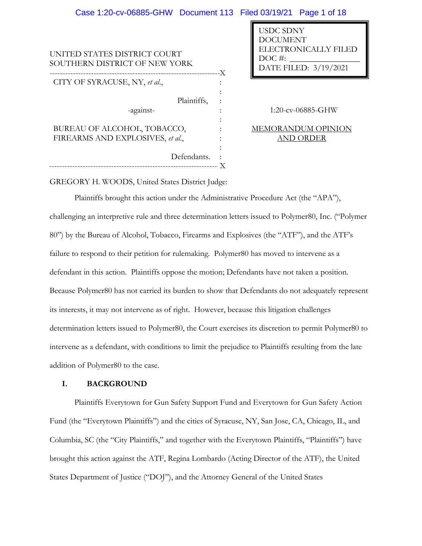#### UNITED STATES DISTRICT COURT SOUTHERN DISTRICT OF NEW YORK ------------------------------------------------------------------- CITY OF SYRACUSE, NY, *et al*., Plaintiffs, -against-BUREAU OF ALCOHOL, TOBACCO, FIREARMS AND EXPLOSIVES, *et al*., Defendants. X : : : : : : : : : 1:20-cv-06885-GHW MEMORANDUM OPINION AND ORDER USDC SDNY DOCUMENT ELECTRONICALLY FILED  $DOC \#$ : DATE FILED: 3/19/2021 Case 1:20-cv-06885-GHW Document 113 Filed 03/19/21 Page 1 of 18

GREGORY H. WOODS, United States District Judge:

------------------------------------------------------------------

Plaintiffs brought this action under the Administrative Procedure Act (the "APA"), challenging an interpretive rule and three determination letters issued to Polymer80, Inc. ("Polymer 80") by the Bureau of Alcohol, Tobacco, Firearms and Explosives (the "ATF"), and the ATF's failure to respond to their petition for rulemaking. Polymer80 has moved to intervene as a defendant in this action. Plaintiffs oppose the motion; Defendants have not taken a position. Because Polymer80 has not carried its burden to show that Defendants do not adequately represent its interests, it may not intervene as of right. However, because this litigation challenges determination letters issued to Polymer80, the Court exercises its discretion to permit Polymer80 to intervene as a defendant, with conditions to limit the prejudice to Plaintiffs resulting from the late addition of Polymer80 to the case.

X

# **I. BACKGROUND**

Plaintiffs Everytown for Gun Safety Support Fund and Everytown for Gun Safety Action Fund (the "Everytown Plaintiffs") and the cities of Syracuse, NY, San Jose, CA, Chicago, IL, and Columbia, SC (the "City Plaintiffs," and together with the Everytown Plaintiffs, "Plaintiffs") have brought this action against the ATF, Regina Lombardo (Acting Director of the ATF), the United States Department of Justice ("DOJ"), and the Attorney General of the United States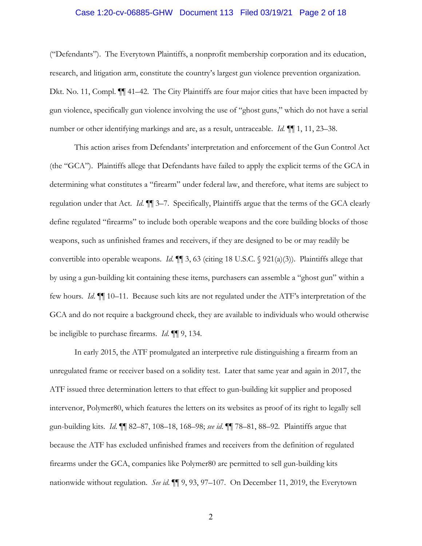# Case 1:20-cv-06885-GHW Document 113 Filed 03/19/21 Page 2 of 18

("Defendants"). The Everytown Plaintiffs, a nonprofit membership corporation and its education, research, and litigation arm, constitute the country's largest gun violence prevention organization. Dkt. No. 11, Compl. ¶¶ 41–42. The City Plaintiffs are four major cities that have been impacted by gun violence, specifically gun violence involving the use of "ghost guns," which do not have a serial number or other identifying markings and are, as a result, untraceable. *Id.* ¶¶ 1, 11, 23–38.

This action arises from Defendants' interpretation and enforcement of the Gun Control Act (the "GCA"). Plaintiffs allege that Defendants have failed to apply the explicit terms of the GCA in determining what constitutes a "firearm" under federal law, and therefore, what items are subject to regulation under that Act. *Id*. ¶¶ 3–7. Specifically, Plaintiffs argue that the terms of the GCA clearly define regulated "firearms" to include both operable weapons and the core building blocks of those weapons, such as unfinished frames and receivers, if they are designed to be or may readily be convertible into operable weapons. *Id*. ¶¶ 3, 63 (citing 18 U.S.C. § 921(a)(3)). Plaintiffs allege that by using a gun-building kit containing these items, purchasers can assemble a "ghost gun" within a few hours. *Id*. ¶¶ 10–11. Because such kits are not regulated under the ATF's interpretation of the GCA and do not require a background check, they are available to individuals who would otherwise be ineligible to purchase firearms. *Id*. ¶¶ 9, 134.

In early 2015, the ATF promulgated an interpretive rule distinguishing a firearm from an unregulated frame or receiver based on a solidity test. Later that same year and again in 2017, the ATF issued three determination letters to that effect to gun-building kit supplier and proposed intervenor, Polymer80, which features the letters on its websites as proof of its right to legally sell gun-building kits. *Id*. ¶¶ 82–87, 108–18, 168–98; *see id*. ¶¶ 78–81, 88–92. Plaintiffs argue that because the ATF has excluded unfinished frames and receivers from the definition of regulated firearms under the GCA, companies like Polymer80 are permitted to sell gun-building kits nationwide without regulation. *See id*. ¶¶ 9, 93, 97–107. On December 11, 2019, the Everytown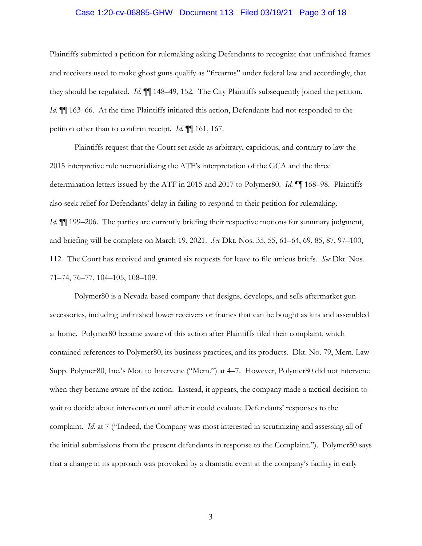# Case 1:20-cv-06885-GHW Document 113 Filed 03/19/21 Page 3 of 18

Plaintiffs submitted a petition for rulemaking asking Defendants to recognize that unfinished frames and receivers used to make ghost guns qualify as "firearms" under federal law and accordingly, that they should be regulated. *Id*. ¶¶ 148–49, 152. The City Plaintiffs subsequently joined the petition. *Id*.  $\blacksquare$  163–66. At the time Plaintiffs initiated this action, Defendants had not responded to the petition other than to confirm receipt. *Id*. ¶¶ 161, 167.

Plaintiffs request that the Court set aside as arbitrary, capricious, and contrary to law the 2015 interpretive rule memorializing the ATF's interpretation of the GCA and the three determination letters issued by the ATF in 2015 and 2017 to Polymer80. *Id*. ¶¶ 168–98. Plaintiffs also seek relief for Defendants' delay in failing to respond to their petition for rulemaking. *Id*.  $\P$  199–206. The parties are currently briefing their respective motions for summary judgment, and briefing will be complete on March 19, 2021. *See* Dkt. Nos. 35, 55, 61–64, 69, 85, 87, 97–100, 112. The Court has received and granted six requests for leave to file amicus briefs. *See* Dkt. Nos. 71–74, 76–77, 104–105, 108–109.

Polymer80 is a Nevada-based company that designs, develops, and sells aftermarket gun accessories, including unfinished lower receivers or frames that can be bought as kits and assembled at home. Polymer80 became aware of this action after Plaintiffs filed their complaint, which contained references to Polymer80, its business practices, and its products. Dkt. No. 79, Mem. Law Supp. Polymer80, Inc.'s Mot. to Intervene ("Mem.") at 4–7. However, Polymer80 did not intervene when they became aware of the action. Instead, it appears, the company made a tactical decision to wait to decide about intervention until after it could evaluate Defendants' responses to the complaint. *Id.* at 7 ("Indeed, the Company was most interested in scrutinizing and assessing all of the initial submissions from the present defendants in response to the Complaint."). Polymer80 says that a change in its approach was provoked by a dramatic event at the company's facility in early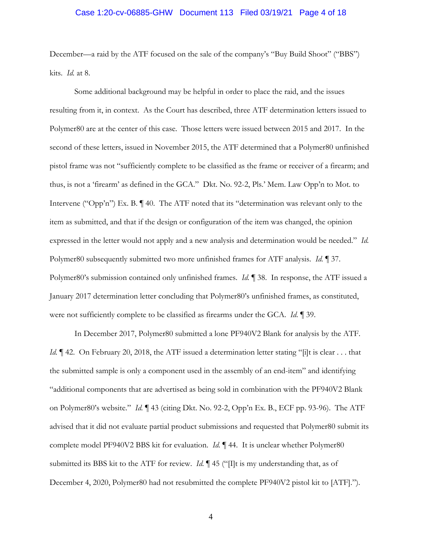# Case 1:20-cv-06885-GHW Document 113 Filed 03/19/21 Page 4 of 18

December—a raid by the ATF focused on the sale of the company's "Buy Build Shoot" ("BBS") kits. *Id.* at 8.

Some additional background may be helpful in order to place the raid, and the issues resulting from it, in context. As the Court has described, three ATF determination letters issued to Polymer80 are at the center of this case. Those letters were issued between 2015 and 2017. In the second of these letters, issued in November 2015, the ATF determined that a Polymer80 unfinished pistol frame was not "sufficiently complete to be classified as the frame or receiver of a firearm; and thus, is not a 'firearm' as defined in the GCA." Dkt. No. 92-2, Pls.' Mem. Law Opp'n to Mot. to Intervene ("Opp'n") Ex. B. ¶ 40. The ATF noted that its "determination was relevant only to the item as submitted, and that if the design or configuration of the item was changed, the opinion expressed in the letter would not apply and a new analysis and determination would be needed." *Id.* Polymer80 subsequently submitted two more unfinished frames for ATF analysis. *Id.* ¶ 37. Polymer80's submission contained only unfinished frames. *Id.* ¶ 38. In response, the ATF issued a January 2017 determination letter concluding that Polymer80's unfinished frames, as constituted, were not sufficiently complete to be classified as firearms under the GCA. *Id.* ¶ 39.

In December 2017, Polymer80 submitted a lone PF940V2 Blank for analysis by the ATF. *Id.*  $\parallel$  42. On February 20, 2018, the ATF issued a determination letter stating "[i]t is clear . . . that the submitted sample is only a component used in the assembly of an end-item" and identifying "additional components that are advertised as being sold in combination with the PF940V2 Blank on Polymer80's website." *Id.* ¶ 43 (citing Dkt. No. 92-2, Opp'n Ex. B., ECF pp. 93-96). The ATF advised that it did not evaluate partial product submissions and requested that Polymer80 submit its complete model PF940V2 BBS kit for evaluation. *Id.* ¶ 44. It is unclear whether Polymer80 submitted its BBS kit to the ATF for review. *Id.*  $\P$  45 ("If is my understanding that, as of December 4, 2020, Polymer80 had not resubmitted the complete PF940V2 pistol kit to [ATF].").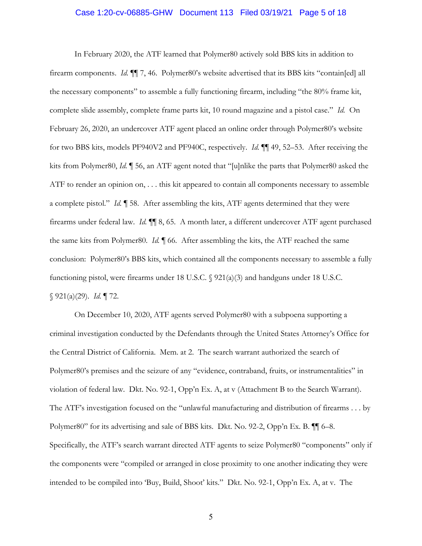## Case 1:20-cv-06885-GHW Document 113 Filed 03/19/21 Page 5 of 18

In February 2020, the ATF learned that Polymer80 actively sold BBS kits in addition to firearm components. *Id.* ¶¶ 7, 46. Polymer80's website advertised that its BBS kits "contain[ed] all the necessary components" to assemble a fully functioning firearm, including "the 80% frame kit, complete slide assembly, complete frame parts kit, 10 round magazine and a pistol case." *Id.* On February 26, 2020, an undercover ATF agent placed an online order through Polymer80's website for two BBS kits, models PF940V2 and PF940C, respectively. *Id.* ¶¶ 49, 52–53. After receiving the kits from Polymer80, *Id.* ¶ 56, an ATF agent noted that "[u]nlike the parts that Polymer80 asked the ATF to render an opinion on, . . . this kit appeared to contain all components necessary to assemble a complete pistol." *Id.* ¶ 58. After assembling the kits, ATF agents determined that they were firearms under federal law. *Id.* ¶¶ 8, 65. A month later, a different undercover ATF agent purchased the same kits from Polymer80. *Id.* ¶ 66. After assembling the kits, the ATF reached the same conclusion: Polymer80's BBS kits, which contained all the components necessary to assemble a fully functioning pistol, were firearms under 18 U.S.C.  $\sqrt{921(a)(3)}$  and handguns under 18 U.S.C. § 921(a)(29). *Id.* ¶ 72.

On December 10, 2020, ATF agents served Polymer80 with a subpoena supporting a criminal investigation conducted by the Defendants through the United States Attorney's Office for the Central District of California. Mem. at 2. The search warrant authorized the search of Polymer80's premises and the seizure of any "evidence, contraband, fruits, or instrumentalities" in violation of federal law. Dkt. No. 92-1, Opp'n Ex. A, at v (Attachment B to the Search Warrant). The ATF's investigation focused on the "unlawful manufacturing and distribution of firearms . . . by Polymer80" for its advertising and sale of BBS kits. Dkt. No. 92-2, Opp'n Ex. B. ¶¶ 6–8. Specifically, the ATF's search warrant directed ATF agents to seize Polymer80 "components" only if the components were "compiled or arranged in close proximity to one another indicating they were intended to be compiled into 'Buy, Build, Shoot' kits." Dkt. No. 92-1, Opp'n Ex. A, at v. The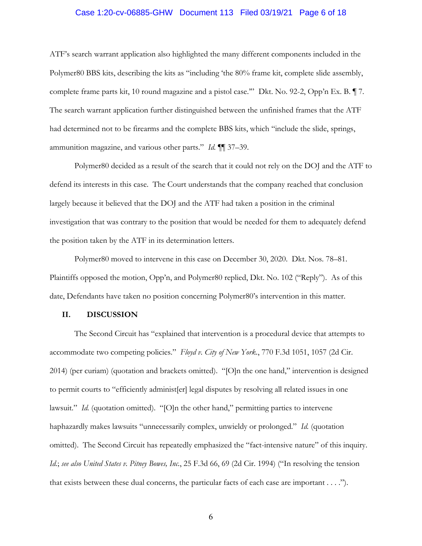# Case 1:20-cv-06885-GHW Document 113 Filed 03/19/21 Page 6 of 18

ATF's search warrant application also highlighted the many different components included in the Polymer80 BBS kits, describing the kits as "including 'the 80% frame kit, complete slide assembly, complete frame parts kit, 10 round magazine and a pistol case.'" Dkt. No. 92-2, Opp'n Ex. B. ¶ 7. The search warrant application further distinguished between the unfinished frames that the ATF had determined not to be firearms and the complete BBS kits, which "include the slide, springs, ammunition magazine, and various other parts." *Id.* ¶¶ 37–39.

Polymer80 decided as a result of the search that it could not rely on the DOJ and the ATF to defend its interests in this case. The Court understands that the company reached that conclusion largely because it believed that the DOJ and the ATF had taken a position in the criminal investigation that was contrary to the position that would be needed for them to adequately defend the position taken by the ATF in its determination letters.

Polymer80 moved to intervene in this case on December 30, 2020. Dkt. Nos. 78–81. Plaintiffs opposed the motion, Opp'n, and Polymer80 replied, Dkt. No. 102 ("Reply"). As of this date, Defendants have taken no position concerning Polymer80's intervention in this matter.

# **II. DISCUSSION**

The Second Circuit has "explained that intervention is a procedural device that attempts to accommodate two competing policies." *Floyd v. City of New York.*, 770 F.3d 1051, 1057 (2d Cir. 2014) (per curiam) (quotation and brackets omitted). "[O]n the one hand," intervention is designed to permit courts to "efficiently administ[er] legal disputes by resolving all related issues in one lawsuit." *Id.* (quotation omitted). "[O]n the other hand," permitting parties to intervene haphazardly makes lawsuits "unnecessarily complex, unwieldy or prolonged." *Id.* (quotation omitted). The Second Circuit has repeatedly emphasized the "fact-intensive nature" of this inquiry. *Id.*; *see also United States v. Pitney Bowes, Inc.*, 25 F.3d 66, 69 (2d Cir. 1994) ("In resolving the tension that exists between these dual concerns, the particular facts of each case are important . . . .").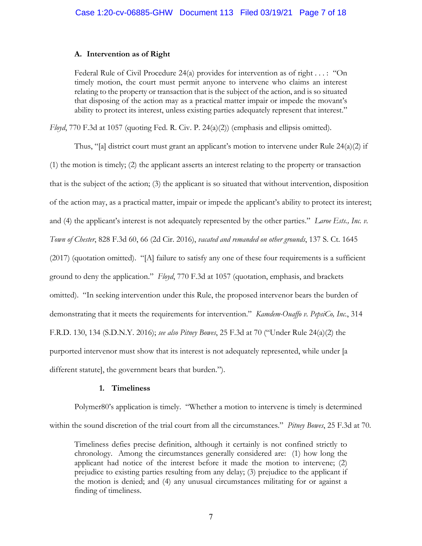# **A. Intervention as of Right**

Federal Rule of Civil Procedure 24(a) provides for intervention as of right . . . : "On timely motion, the court must permit anyone to intervene who claims an interest relating to the property or transaction that is the subject of the action, and is so situated that disposing of the action may as a practical matter impair or impede the movant's ability to protect its interest, unless existing parties adequately represent that interest."

*Floyd*, 770 F.3d at 1057 (quoting Fed. R. Civ. P. 24(a)(2)) (emphasis and ellipsis omitted).

Thus, "[a] district court must grant an applicant's motion to intervene under Rule  $24(a)(2)$  if (1) the motion is timely; (2) the applicant asserts an interest relating to the property or transaction that is the subject of the action; (3) the applicant is so situated that without intervention, disposition of the action may, as a practical matter, impair or impede the applicant's ability to protect its interest; and (4) the applicant's interest is not adequately represented by the other parties." *Laroe Ests., Inc. v. Town of Chester*, 828 F.3d 60, 66 (2d Cir. 2016), *vacated and remanded on other grounds*, 137 S. Ct. 1645 (2017) (quotation omitted). "[A] failure to satisfy any one of these four requirements is a sufficient ground to deny the application." *Floyd*, 770 F.3d at 1057 (quotation, emphasis, and brackets omitted). "In seeking intervention under this Rule, the proposed intervenor bears the burden of demonstrating that it meets the requirements for intervention." *Kamdem-Ouaffo v. PepsiCo, Inc.*, 314 F.R.D. 130, 134 (S.D.N.Y. 2016); *see also Pitney Bowes*, 25 F.3d at 70 ("Under Rule 24(a)(2) the purported intervenor must show that its interest is not adequately represented, while under [a different statute], the government bears that burden.").

# **1. Timeliness**

Polymer80's application is timely. "Whether a motion to intervene is timely is determined within the sound discretion of the trial court from all the circumstances." *Pitney Bowes*, 25 F.3d at 70.

Timeliness defies precise definition, although it certainly is not confined strictly to chronology. Among the circumstances generally considered are: (1) how long the applicant had notice of the interest before it made the motion to intervene; (2) prejudice to existing parties resulting from any delay; (3) prejudice to the applicant if the motion is denied; and (4) any unusual circumstances militating for or against a finding of timeliness.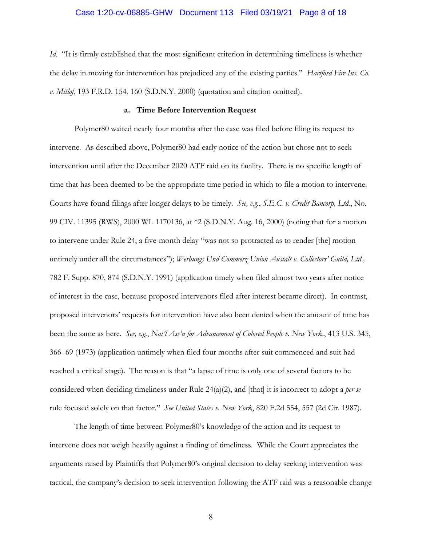## Case 1:20-cv-06885-GHW Document 113 Filed 03/19/21 Page 8 of 18

*Id.* "It is firmly established that the most significant criterion in determining timeliness is whether the delay in moving for intervention has prejudiced any of the existing parties." *Hartford Fire Ins. Co. v. Mitlof*, 193 F.R.D. 154, 160 (S.D.N.Y. 2000) (quotation and citation omitted).

#### **a. Time Before Intervention Request**

Polymer80 waited nearly four months after the case was filed before filing its request to intervene. As described above, Polymer80 had early notice of the action but chose not to seek intervention until after the December 2020 ATF raid on its facility. There is no specific length of time that has been deemed to be the appropriate time period in which to file a motion to intervene. Courts have found filings after longer delays to be timely. *See, e.g.*, *S.E.C. v. Credit Bancorp, Ltd.*, No. 99 CIV. 11395 (RWS), 2000 WL 1170136, at \*2 (S.D.N.Y. Aug. 16, 2000) (noting that for a motion to intervene under Rule 24, a five-month delay "was not so protracted as to render [the] motion untimely under all the circumstances"); *Werbungs Und Commerz Union Austalt v. Collectors' Guild, Ltd.,* 782 F. Supp. 870, 874 (S.D.N.Y. 1991) (application timely when filed almost two years after notice of interest in the case, because proposed intervenors filed after interest became direct). In contrast, proposed intervenors' requests for intervention have also been denied when the amount of time has been the same as here. *See, e.g.*, *Nat'l Ass'n for Advancement of Colored People v. New York.*, 413 U.S. 345, 366–69 (1973) (application untimely when filed four months after suit commenced and suit had reached a critical stage). The reason is that "a lapse of time is only one of several factors to be considered when deciding timeliness under Rule 24(a)(2), and [that] it is incorrect to adopt a *per se* rule focused solely on that factor." *See United States v. New York*, 820 F.2d 554, 557 (2d Cir. 1987).

The length of time between Polymer80's knowledge of the action and its request to intervene does not weigh heavily against a finding of timeliness. While the Court appreciates the arguments raised by Plaintiffs that Polymer80's original decision to delay seeking intervention was tactical, the company's decision to seek intervention following the ATF raid was a reasonable change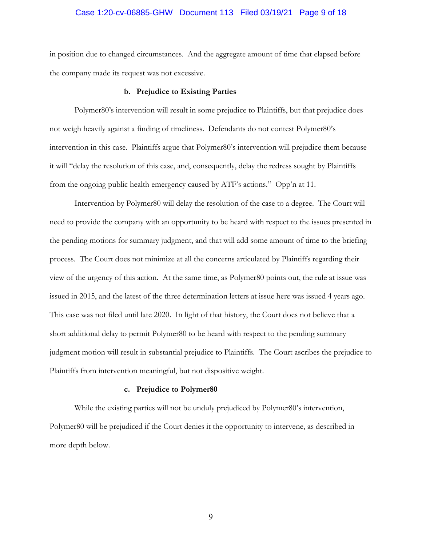# Case 1:20-cv-06885-GHW Document 113 Filed 03/19/21 Page 9 of 18

in position due to changed circumstances. And the aggregate amount of time that elapsed before the company made its request was not excessive.

#### **b. Prejudice to Existing Parties**

Polymer80's intervention will result in some prejudice to Plaintiffs, but that prejudice does not weigh heavily against a finding of timeliness. Defendants do not contest Polymer80's intervention in this case. Plaintiffs argue that Polymer80's intervention will prejudice them because it will "delay the resolution of this case, and, consequently, delay the redress sought by Plaintiffs from the ongoing public health emergency caused by ATF's actions." Opp'n at 11.

Intervention by Polymer80 will delay the resolution of the case to a degree. The Court will need to provide the company with an opportunity to be heard with respect to the issues presented in the pending motions for summary judgment, and that will add some amount of time to the briefing process. The Court does not minimize at all the concerns articulated by Plaintiffs regarding their view of the urgency of this action. At the same time, as Polymer80 points out, the rule at issue was issued in 2015, and the latest of the three determination letters at issue here was issued 4 years ago. This case was not filed until late 2020. In light of that history, the Court does not believe that a short additional delay to permit Polymer80 to be heard with respect to the pending summary judgment motion will result in substantial prejudice to Plaintiffs. The Court ascribes the prejudice to Plaintiffs from intervention meaningful, but not dispositive weight.

#### **c. Prejudice to Polymer80**

While the existing parties will not be unduly prejudiced by Polymer80's intervention, Polymer80 will be prejudiced if the Court denies it the opportunity to intervene, as described in more depth below.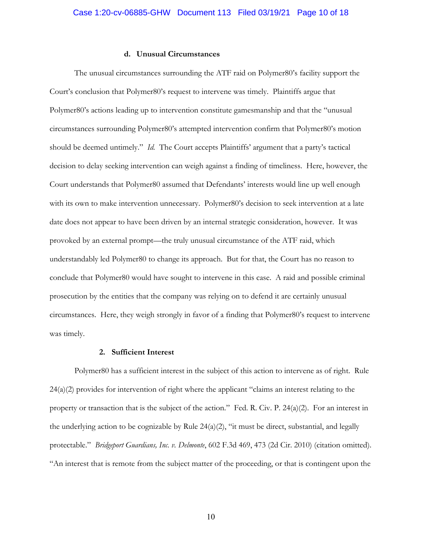#### **d. Unusual Circumstances**

The unusual circumstances surrounding the ATF raid on Polymer80's facility support the Court's conclusion that Polymer80's request to intervene was timely. Plaintiffs argue that Polymer80's actions leading up to intervention constitute gamesmanship and that the "unusual circumstances surrounding Polymer80's attempted intervention confirm that Polymer80's motion should be deemed untimely." *Id.* The Court accepts Plaintiffs' argument that a party's tactical decision to delay seeking intervention can weigh against a finding of timeliness. Here, however, the Court understands that Polymer80 assumed that Defendants' interests would line up well enough with its own to make intervention unnecessary. Polymer80's decision to seek intervention at a late date does not appear to have been driven by an internal strategic consideration, however. It was provoked by an external prompt—the truly unusual circumstance of the ATF raid, which understandably led Polymer80 to change its approach. But for that, the Court has no reason to conclude that Polymer80 would have sought to intervene in this case. A raid and possible criminal prosecution by the entities that the company was relying on to defend it are certainly unusual circumstances. Here, they weigh strongly in favor of a finding that Polymer80's request to intervene was timely.

# **2. Sufficient Interest**

Polymer80 has a sufficient interest in the subject of this action to intervene as of right. Rule 24(a)(2) provides for intervention of right where the applicant "claims an interest relating to the property or transaction that is the subject of the action." Fed. R. Civ. P. 24(a)(2). For an interest in the underlying action to be cognizable by Rule  $24(a)(2)$ , "it must be direct, substantial, and legally protectable." *Bridgeport Guardians, Inc. v. Delmonte*, 602 F.3d 469, 473 (2d Cir. 2010) (citation omitted). "An interest that is remote from the subject matter of the proceeding, or that is contingent upon the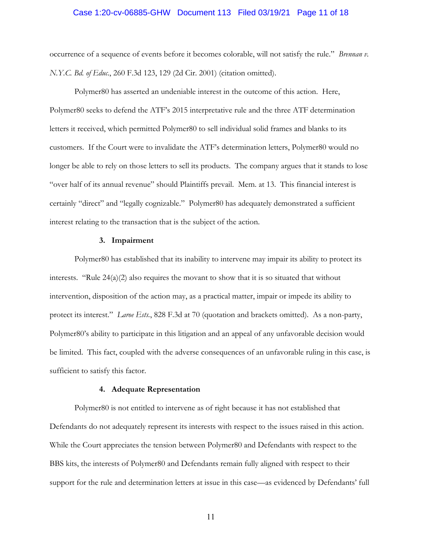## Case 1:20-cv-06885-GHW Document 113 Filed 03/19/21 Page 11 of 18

occurrence of a sequence of events before it becomes colorable, will not satisfy the rule." *Brennan v. N.Y.C. Bd. of Educ.*, 260 F.3d 123, 129 (2d Cir. 2001) (citation omitted).

Polymer80 has asserted an undeniable interest in the outcome of this action. Here, Polymer80 seeks to defend the ATF's 2015 interpretative rule and the three ATF determination letters it received, which permitted Polymer80 to sell individual solid frames and blanks to its customers. If the Court were to invalidate the ATF's determination letters, Polymer80 would no longer be able to rely on those letters to sell its products. The company argues that it stands to lose "over half of its annual revenue" should Plaintiffs prevail. Mem. at 13. This financial interest is certainly "direct" and "legally cognizable." Polymer80 has adequately demonstrated a sufficient interest relating to the transaction that is the subject of the action.

#### **3. Impairment**

Polymer80 has established that its inability to intervene may impair its ability to protect its interests. "Rule  $24(a)(2)$  also requires the movant to show that it is so situated that without intervention, disposition of the action may, as a practical matter, impair or impede its ability to protect its interest." *Laroe Ests.*, 828 F.3d at 70 (quotation and brackets omitted). As a non-party, Polymer80's ability to participate in this litigation and an appeal of any unfavorable decision would be limited. This fact, coupled with the adverse consequences of an unfavorable ruling in this case, is sufficient to satisfy this factor.

#### **4. Adequate Representation**

Polymer80 is not entitled to intervene as of right because it has not established that Defendants do not adequately represent its interests with respect to the issues raised in this action. While the Court appreciates the tension between Polymer80 and Defendants with respect to the BBS kits, the interests of Polymer80 and Defendants remain fully aligned with respect to their support for the rule and determination letters at issue in this case—as evidenced by Defendants' full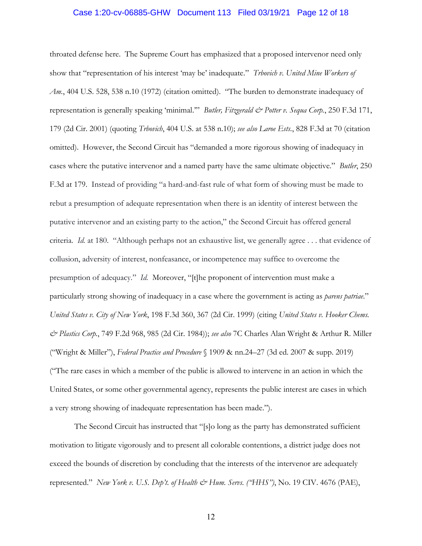## Case 1:20-cv-06885-GHW Document 113 Filed 03/19/21 Page 12 of 18

throated defense here. The Supreme Court has emphasized that a proposed intervenor need only show that "representation of his interest 'may be' inadequate." *Trbovich v. United Mine Workers of Am.*, 404 U.S. 528, 538 n.10 (1972) (citation omitted). "The burden to demonstrate inadequacy of representation is generally speaking 'minimal.'" *Butler, Fitzgerald & Potter v. Sequa Corp.*, 250 F.3d 171, 179 (2d Cir. 2001) (quoting *Trbovich*, 404 U.S. at 538 n.10); *see also Laroe Ests.*, 828 F.3d at 70 (citation omitted). However, the Second Circuit has "demanded a more rigorous showing of inadequacy in cases where the putative intervenor and a named party have the same ultimate objective." *Butler*, 250 F.3d at 179. Instead of providing "a hard-and-fast rule of what form of showing must be made to rebut a presumption of adequate representation when there is an identity of interest between the putative intervenor and an existing party to the action," the Second Circuit has offered general criteria. *Id.* at 180. "Although perhaps not an exhaustive list, we generally agree . . . that evidence of collusion, adversity of interest, nonfeasance, or incompetence may suffice to overcome the presumption of adequacy." *Id.* Moreover, "[t]he proponent of intervention must make a particularly strong showing of inadequacy in a case where the government is acting as *parens patriae*." *United States v. City of New York*, 198 F.3d 360, 367 (2d Cir. 1999) (citing *United States v. Hooker Chems. & Plastics Corp.*, 749 F.2d 968, 985 (2d Cir. 1984)); *see also* 7C Charles Alan Wright & Arthur R. Miller ("Wright & Miller"), *Federal Practice and Procedure* § 1909 & nn.24–27 (3d ed. 2007 & supp. 2019) ("The rare cases in which a member of the public is allowed to intervene in an action in which the United States, or some other governmental agency, represents the public interest are cases in which a very strong showing of inadequate representation has been made.").

The Second Circuit has instructed that "[s]o long as the party has demonstrated sufficient motivation to litigate vigorously and to present all colorable contentions, a district judge does not exceed the bounds of discretion by concluding that the interests of the intervenor are adequately represented." *New York v. U.S. Dep't. of Health & Hum. Servs. ("HHS")*, No. 19 CIV. 4676 (PAE),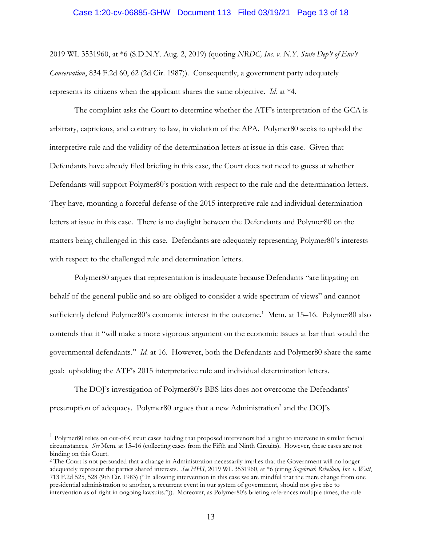#### Case 1:20-cv-06885-GHW Document 113 Filed 03/19/21 Page 13 of 18

2019 WL 3531960, at \*6 (S.D.N.Y. Aug. 2, 2019) (quoting *NRDC, Inc. v. N.Y. State Dep't of Env't Conservation*, 834 F.2d 60, 62 (2d Cir. 1987)). Consequently, a government party adequately represents its citizens when the applicant shares the same objective. *Id.* at \*4.

The complaint asks the Court to determine whether the ATF's interpretation of the GCA is arbitrary, capricious, and contrary to law, in violation of the APA. Polymer80 seeks to uphold the interpretive rule and the validity of the determination letters at issue in this case. Given that Defendants have already filed briefing in this case, the Court does not need to guess at whether Defendants will support Polymer80's position with respect to the rule and the determination letters. They have, mounting a forceful defense of the 2015 interpretive rule and individual determination letters at issue in this case. There is no daylight between the Defendants and Polymer80 on the matters being challenged in this case. Defendants are adequately representing Polymer80's interests with respect to the challenged rule and determination letters.

Polymer80 argues that representation is inadequate because Defendants "are litigating on behalf of the general public and so are obliged to consider a wide spectrum of views" and cannot sufficiently defend Polymer80's economic interest in the outcome.<sup>1</sup> Mem. at 15-16. Polymer80 also contends that it "will make a more vigorous argument on the economic issues at bar than would the governmental defendants." *Id.* at 16. However, both the Defendants and Polymer80 share the same goal: upholding the ATF's 2015 interpretative rule and individual determination letters.

The DOJ's investigation of Polymer80's BBS kits does not overcome the Defendants' presumption of adequacy. Polymer80 argues that a new Administration<sup>2</sup> and the DOJ's

<sup>&</sup>lt;sup>1</sup> Polymer80 relies on out-of-Circuit cases holding that proposed intervenors had a right to intervene in similar factual circumstances. *See* Mem. at 15–16 (collecting cases from the Fifth and Ninth Circuits). However, these cases are not binding on this Court.

<sup>&</sup>lt;sup>2</sup> The Court is not persuaded that a change in Administration necessarily implies that the Government will no longer adequately represent the parties shared interests. *See HHS*, 2019 WL 3531960, at \*6 (citing *Sagebrush Rebellion, Inc. v. Watt*, 713 F.2d 525, 528 (9th Cir. 1983) ("In allowing intervention in this case we are mindful that the mere change from one presidential administration to another, a recurrent event in our system of government, should not give rise to intervention as of right in ongoing lawsuits.")). Moreover, as Polymer80's briefing references multiple times, the rule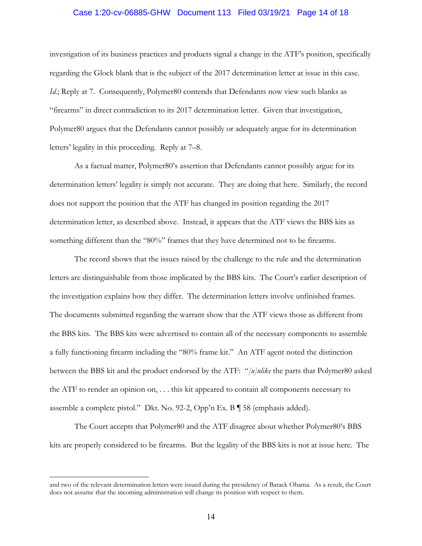## Case 1:20-cv-06885-GHW Document 113 Filed 03/19/21 Page 14 of 18

investigation of its business practices and products signal a change in the ATF's position, specifically regarding the Glock blank that is the subject of the 2017 determination letter at issue in this case. *Id.*; Reply at 7. Consequently, Polymer80 contends that Defendants now view such blanks as "firearms" in direct contradiction to its 2017 determination letter. Given that investigation, Polymer80 argues that the Defendants cannot possibly or adequately argue for its determination letters' legality in this proceeding. Reply at 7–8.

As a factual matter, Polymer80's assertion that Defendants cannot possibly argue for its determination letters' legality is simply not accurate. They are doing that here. Similarly, the record does not support the position that the ATF has changed its position regarding the 2017 determination letter, as described above. Instead, it appears that the ATF views the BBS kits as something different than the "80%" frames that they have determined not to be firearms.

The record shows that the issues raised by the challenge to the rule and the determination letters are distinguishable from those implicated by the BBS kits. The Court's earlier description of the investigation explains how they differ. The determination letters involve unfinished frames. The documents submitted regarding the warrant show that the ATF views those as different from the BBS kits. The BBS kits were advertised to contain all of the necessary components to assemble a fully functioning firearm including the "80% frame kit." An ATF agent noted the distinction between the BBS kit and the product endorsed by the ATF: "*[u]nlike* the parts that Polymer80 asked the ATF to render an opinion on, . . . this kit appeared to contain all components necessary to assemble a complete pistol." Dkt. No. 92-2, Opp'n Ex. B ¶ 58 (emphasis added).

The Court accepts that Polymer80 and the ATF disagree about whether Polymer80's BBS kits are properly considered to be firearms. But the legality of the BBS kits is not at issue here. The

and two of the relevant determination letters were issued during the presidency of Barack Obama. As a result, the Court does not assume that the incoming administration will change its position with respect to them.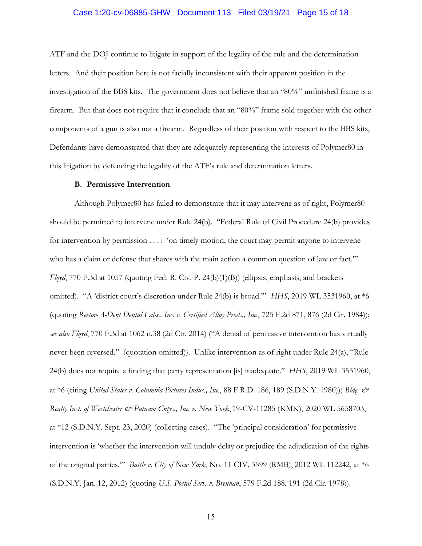## Case 1:20-cv-06885-GHW Document 113 Filed 03/19/21 Page 15 of 18

ATF and the DOJ continue to litigate in support of the legality of the rule and the determination letters. And their position here is not facially inconsistent with their apparent position in the investigation of the BBS kits. The government does not believe that an "80%" unfinished frame is a firearm. But that does not require that it conclude that an "80%" frame sold together with the other components of a gun is also not a firearm. Regardless of their position with respect to the BBS kits, Defendants have demonstrated that they are adequately representing the interests of Polymer80 in this litigation by defending the legality of the ATF's rule and determination letters.

#### **B. Permissive Intervention**

Although Polymer80 has failed to demonstrate that it may intervene as of right, Polymer80 should be permitted to intervene under Rule 24(b). "Federal Rule of Civil Procedure 24(b) provides for intervention by permission . . . : 'on timely motion, the court may permit anyone to intervene who has a claim or defense that shares with the main action a common question of law or fact." *Floyd*, 770 F.3d at 1057 (quoting Fed. R. Civ. P. 24(b)(1)(B)) (ellipsis, emphasis, and brackets omitted). "A 'district court's discretion under Rule 24(b) is broad.'" *HHS*, 2019 WL 3531960, at \*6 (quoting *Restor-A-Dent Dental Labs., Inc. v. Certified Alloy Prods., Inc.*, 725 F.2d 871, 876 (2d Cir. 1984)); *see also Floyd*, 770 F.3d at 1062 n.38 (2d Cir. 2014) ("A denial of permissive intervention has virtually never been reversed." (quotation omitted)). Unlike intervention as of right under Rule 24(a), "Rule 24(b) does not require a finding that party representation [is] inadequate." *HHS*, 2019 WL 3531960, at \*6 (citing *United States v. Columbia Pictures Indus., Inc.*, 88 F.R.D. 186, 189 (S.D.N.Y. 1980)); *Bldg. & Realty Inst. of Westchester & Putnam Cntys., Inc. v. New York*, 19-CV-11285 (KMK), 2020 WL 5658703, at \*12 (S.D.N.Y. Sept. 23, 2020) (collecting cases). "The 'principal consideration' for permissive intervention is 'whether the intervention will unduly delay or prejudice the adjudication of the rights of the original parties.'" *Battle v. City of New York*, No. 11 CIV. 3599 (RMB), 2012 WL 112242, at \*6 (S.D.N.Y. Jan. 12, 2012) (quoting *U.S. Postal Serv. v. Brennan*, 579 F.2d 188, 191 (2d Cir. 1978)).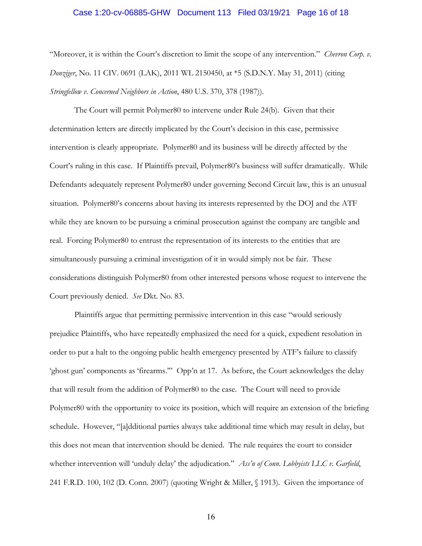#### Case 1:20-cv-06885-GHW Document 113 Filed 03/19/21 Page 16 of 18

"Moreover, it is within the Court's discretion to limit the scope of any intervention." *Chevron Corp. v. Donziger*, No. 11 CIV. 0691 (LAK), 2011 WL 2150450, at \*5 (S.D.N.Y. May 31, 2011) (citing *Stringfellow v. Concerned Neighbors in Action*, 480 U.S. 370, 378 (1987)).

The Court will permit Polymer80 to intervene under Rule 24(b). Given that their determination letters are directly implicated by the Court's decision in this case, permissive intervention is clearly appropriate. Polymer80 and its business will be directly affected by the Court's ruling in this case. If Plaintiffs prevail, Polymer80's business will suffer dramatically. While Defendants adequately represent Polymer80 under governing Second Circuit law, this is an unusual situation. Polymer80's concerns about having its interests represented by the DOJ and the ATF while they are known to be pursuing a criminal prosecution against the company are tangible and real. Forcing Polymer80 to entrust the representation of its interests to the entities that are simultaneously pursuing a criminal investigation of it in would simply not be fair. These considerations distinguish Polymer80 from other interested persons whose request to intervene the Court previously denied. *See* Dkt. No. 83.

Plaintiffs argue that permitting permissive intervention in this case "would seriously prejudice Plaintiffs, who have repeatedly emphasized the need for a quick, expedient resolution in order to put a halt to the ongoing public health emergency presented by ATF's failure to classify 'ghost gun' components as 'firearms.'" Opp'n at 17. As before, the Court acknowledges the delay that will result from the addition of Polymer80 to the case. The Court will need to provide Polymer80 with the opportunity to voice its position, which will require an extension of the briefing schedule. However, "[a]dditional parties always take additional time which may result in delay, but this does not mean that intervention should be denied. The rule requires the court to consider whether intervention will 'unduly delay' the adjudication." *Ass'n of Conn. Lobbyists LLC v. Garfield*, 241 F.R.D. 100, 102 (D. Conn. 2007) (quoting Wright & Miller, § 1913). Given the importance of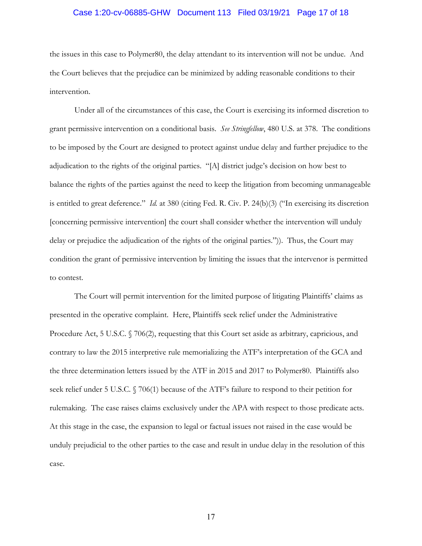# Case 1:20-cv-06885-GHW Document 113 Filed 03/19/21 Page 17 of 18

the issues in this case to Polymer80, the delay attendant to its intervention will not be undue. And the Court believes that the prejudice can be minimized by adding reasonable conditions to their intervention.

Under all of the circumstances of this case, the Court is exercising its informed discretion to grant permissive intervention on a conditional basis. *See Stringfellow*, 480 U.S. at 378. The conditions to be imposed by the Court are designed to protect against undue delay and further prejudice to the adjudication to the rights of the original parties. "[A] district judge's decision on how best to balance the rights of the parties against the need to keep the litigation from becoming unmanageable is entitled to great deference." *Id.* at 380 (citing Fed. R. Civ. P. 24(b)(3) ("In exercising its discretion [concerning permissive intervention] the court shall consider whether the intervention will unduly delay or prejudice the adjudication of the rights of the original parties.")). Thus, the Court may condition the grant of permissive intervention by limiting the issues that the intervenor is permitted to contest.

The Court will permit intervention for the limited purpose of litigating Plaintiffs' claims as presented in the operative complaint. Here, Plaintiffs seek relief under the Administrative Procedure Act, 5 U.S.C. § 706(2), requesting that this Court set aside as arbitrary, capricious, and contrary to law the 2015 interpretive rule memorializing the ATF's interpretation of the GCA and the three determination letters issued by the ATF in 2015 and 2017 to Polymer80. Plaintiffs also seek relief under 5 U.S.C. § 706(1) because of the ATF's failure to respond to their petition for rulemaking. The case raises claims exclusively under the APA with respect to those predicate acts. At this stage in the case, the expansion to legal or factual issues not raised in the case would be unduly prejudicial to the other parties to the case and result in undue delay in the resolution of this case.